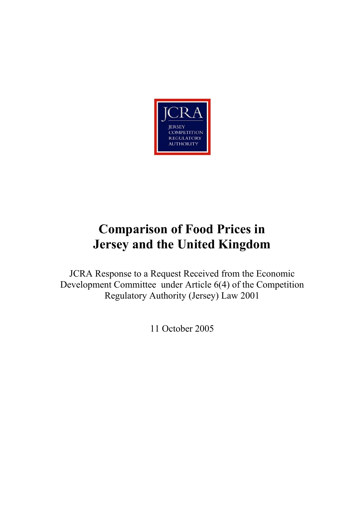

# **Comparison of Food Prices in Jersey and the United Kingdom**

JCRA Response to a Request Received from the Economic Development Committee under Article 6(4) of the Competition Regulatory Authority (Jersey) Law 2001

11 October 2005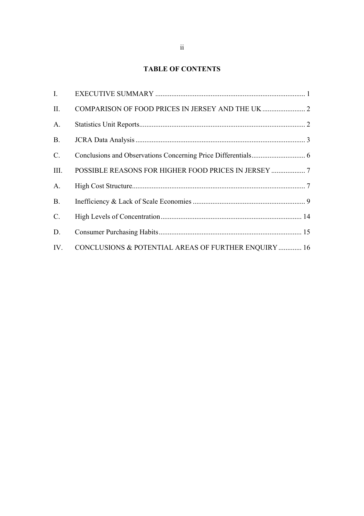# **TABLE OF CONTENTS**

| L.        |                                                      |
|-----------|------------------------------------------------------|
| II.       |                                                      |
| A.        |                                                      |
| <b>B.</b> |                                                      |
| $C$ .     |                                                      |
| Ш.        |                                                      |
| A.        |                                                      |
| <b>B.</b> |                                                      |
| C.        |                                                      |
| D.        |                                                      |
| IV.       | CONCLUSIONS & POTENTIAL AREAS OF FURTHER ENQUIRY  16 |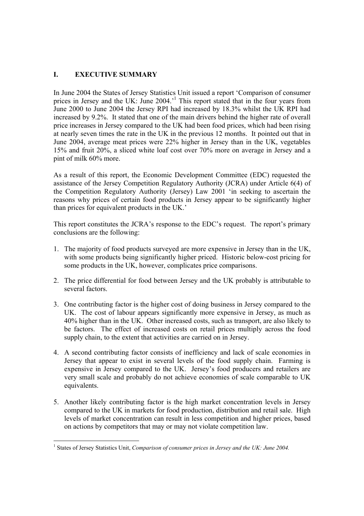# **I. EXECUTIVE SUMMARY**

In June 2004 the States of Jersey Statistics Unit issued a report 'Comparison of consumer prices in Jersey and the UK: June 2004.<sup>1</sup> This report stated that in the four years from June 2000 to June 2004 the Jersey RPI had increased by 18.3% whilst the UK RPI had increased by 9.2%. It stated that one of the main drivers behind the higher rate of overall price increases in Jersey compared to the UK had been food prices, which had been rising at nearly seven times the rate in the UK in the previous 12 months. It pointed out that in June 2004, average meat prices were 22% higher in Jersey than in the UK, vegetables 15% and fruit 20%, a sliced white loaf cost over 70% more on average in Jersey and a pint of milk 60% more.

As a result of this report, the Economic Development Committee (EDC) requested the assistance of the Jersey Competition Regulatory Authority (JCRA) under Article 6(4) of the Competition Regulatory Authority (Jersey) Law 2001 'in seeking to ascertain the reasons why prices of certain food products in Jersey appear to be significantly higher than prices for equivalent products in the UK.'

This report constitutes the JCRA's response to the EDC's request. The report's primary conclusions are the following:

- 1. The majority of food products surveyed are more expensive in Jersey than in the UK, with some products being significantly higher priced. Historic below-cost pricing for some products in the UK, however, complicates price comparisons.
- 2. The price differential for food between Jersey and the UK probably is attributable to several factors.
- 3. One contributing factor is the higher cost of doing business in Jersey compared to the UK. The cost of labour appears significantly more expensive in Jersey, as much as 40% higher than in the UK. Other increased costs, such as transport, are also likely to be factors. The effect of increased costs on retail prices multiply across the food supply chain, to the extent that activities are carried on in Jersey.
- 4. A second contributing factor consists of inefficiency and lack of scale economies in Jersey that appear to exist in several levels of the food supply chain. Farming is expensive in Jersey compared to the UK. Jersey's food producers and retailers are very small scale and probably do not achieve economies of scale comparable to UK equivalents.
- 5. Another likely contributing factor is the high market concentration levels in Jersey compared to the UK in markets for food production, distribution and retail sale. High levels of market concentration can result in less competition and higher prices, based on actions by competitors that may or may not violate competition law.

<sup>&</sup>lt;sup>1</sup> States of Jersey Statistics Unit, *Comparison of consumer prices in Jersey and the UK: June 2004*.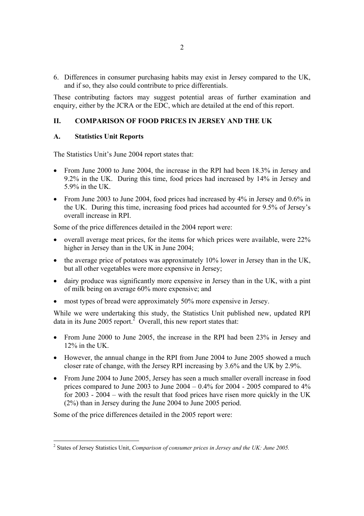6. Differences in consumer purchasing habits may exist in Jersey compared to the UK, and if so, they also could contribute to price differentials.

These contributing factors may suggest potential areas of further examination and enquiry, either by the JCRA or the EDC, which are detailed at the end of this report.

# **II. COMPARISON OF FOOD PRICES IN JERSEY AND THE UK**

### **A. Statistics Unit Reports**

The Statistics Unit's June 2004 report states that:

- From June 2000 to June 2004, the increase in the RPI had been 18.3% in Jersey and 9.2% in the UK. During this time, food prices had increased by 14% in Jersey and 5.9% in the UK.
- From June 2003 to June 2004, food prices had increased by 4% in Jersey and 0.6% in the UK. During this time, increasing food prices had accounted for 9.5% of Jersey's overall increase in RPI.

Some of the price differences detailed in the 2004 report were:

- overall average meat prices, for the items for which prices were available, were 22% higher in Jersey than in the UK in June 2004;
- the average price of potatoes was approximately 10% lower in Jersey than in the UK, but all other vegetables were more expensive in Jersey;
- dairy produce was significantly more expensive in Jersey than in the UK, with a pint of milk being on average 60% more expensive; and
- most types of bread were approximately 50% more expensive in Jersey.

While we were undertaking this study, the Statistics Unit published new, updated RPI data in its June 2005 report.<sup>2</sup> Overall, this new report states that:

- From June 2000 to June 2005, the increase in the RPI had been 23% in Jersey and 12% in the UK.
- However, the annual change in the RPI from June 2004 to June 2005 showed a much closer rate of change, with the Jersey RPI increasing by 3.6% and the UK by 2.9%.
- From June 2004 to June 2005, Jersey has seen a much smaller overall increase in food prices compared to June 2003 to June  $2004 - 0.4\%$  for  $2004 - 2005$  compared to  $4\%$ for 2003 - 2004 – with the result that food prices have risen more quickly in the UK (2%) than in Jersey during the June 2004 to June 2005 period.

Some of the price differences detailed in the 2005 report were:

<sup>2</sup> States of Jersey Statistics Unit, *Comparison of consumer prices in Jersey and the UK: June 2005.*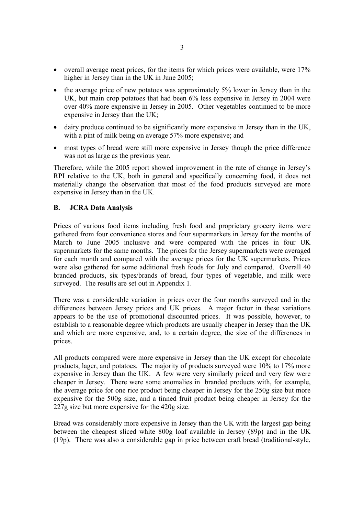- overall average meat prices, for the items for which prices were available, were 17% higher in Jersey than in the UK in June 2005:
- the average price of new potatoes was approximately 5% lower in Jersey than in the UK, but main crop potatoes that had been 6% less expensive in Jersey in 2004 were over 40% more expensive in Jersey in 2005. Other vegetables continued to be more expensive in Jersey than the UK;
- dairy produce continued to be significantly more expensive in Jersey than in the UK, with a pint of milk being on average 57% more expensive; and
- most types of bread were still more expensive in Jersey though the price difference was not as large as the previous year.

Therefore, while the 2005 report showed improvement in the rate of change in Jersey's RPI relative to the UK, both in general and specifically concerning food, it does not materially change the observation that most of the food products surveyed are more expensive in Jersey than in the UK.

### **B. JCRA Data Analysis**

Prices of various food items including fresh food and proprietary grocery items were gathered from four convenience stores and four supermarkets in Jersey for the months of March to June 2005 inclusive and were compared with the prices in four UK supermarkets for the same months. The prices for the Jersey supermarkets were averaged for each month and compared with the average prices for the UK supermarkets. Prices were also gathered for some additional fresh foods for July and compared. Overall 40 branded products, six types/brands of bread, four types of vegetable, and milk were surveyed. The results are set out in Appendix 1.

There was a considerable variation in prices over the four months surveyed and in the differences between Jersey prices and UK prices. A major factor in these variations appears to be the use of promotional discounted prices. It was possible, however, to establish to a reasonable degree which products are usually cheaper in Jersey than the UK and which are more expensive, and, to a certain degree, the size of the differences in prices.

All products compared were more expensive in Jersey than the UK except for chocolate products, lager, and potatoes. The majority of products surveyed were 10% to 17% more expensive in Jersey than the UK. A few were very similarly priced and very few were cheaper in Jersey. There were some anomalies in branded products with, for example, the average price for one rice product being cheaper in Jersey for the 250g size but more expensive for the 500g size, and a tinned fruit product being cheaper in Jersey for the 227g size but more expensive for the 420g size.

Bread was considerably more expensive in Jersey than the UK with the largest gap being between the cheapest sliced white 800g loaf available in Jersey (89p) and in the UK (19p). There was also a considerable gap in price between craft bread (traditional-style,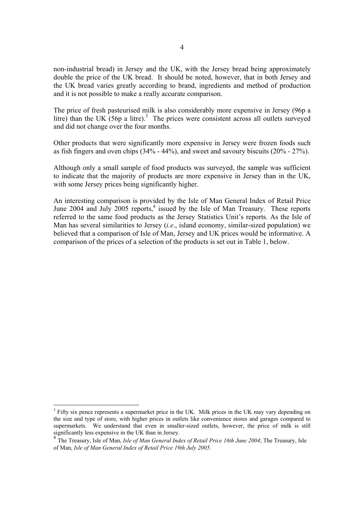non-industrial bread) in Jersey and the UK, with the Jersey bread being approximately double the price of the UK bread. It should be noted, however, that in both Jersey and the UK bread varies greatly according to brand, ingredients and method of production and it is not possible to make a really accurate comparison.

The price of fresh pasteurised milk is also considerably more expensive in Jersey (96p a litre) than the UK  $(56p \t a)$  litre).<sup>3</sup> The prices were consistent across all outlets surveyed and did not change over the four months.

Other products that were significantly more expensive in Jersey were frozen foods such as fish fingers and oven chips (34% - 44%), and sweet and savoury biscuits (20% - 27%).

Although only a small sample of food products was surveyed, the sample was sufficient to indicate that the majority of products are more expensive in Jersey than in the UK, with some Jersey prices being significantly higher.

An interesting comparison is provided by the Isle of Man General Index of Retail Price June 2004 and July 2005 reports,<sup>4</sup> issued by the Isle of Man Treasury. These reports referred to the same food products as the Jersey Statistics Unit's reports. As the Isle of Man has several similarities to Jersey (*i.e*., island economy, similar-sized population) we believed that a comparison of Isle of Man, Jersey and UK prices would be informative. A comparison of the prices of a selection of the products is set out in Table 1, below.

<sup>&</sup>lt;sup>3</sup> Fifty six pence represents a supermarket price in the UK. Milk prices in the UK may vary depending on the size and type of store, with higher prices in outlets like convenience stores and garages compared to supermarkets. We understand that even in smaller-sized outlets, however, the price of milk is still significantly less expensive in the UK than in Jersey.

<sup>&</sup>lt;sup>4</sup> The Treasury, Isle of Man, *Isle of Man General Index of Retail Price 16th June 2004*; The Treasury, Isle of Man, *Isle of Man General Index of Retail Price 19th July 2005.*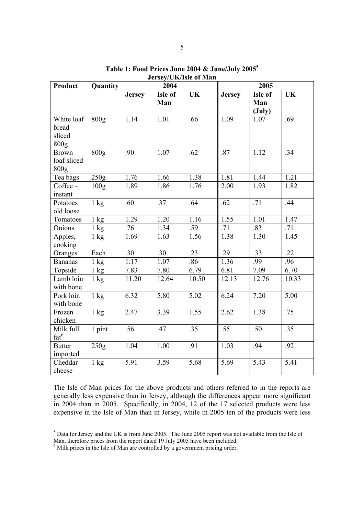| Product                                           | Quantity         | 2004          |                |           | 2005          |                                   |           |
|---------------------------------------------------|------------------|---------------|----------------|-----------|---------------|-----------------------------------|-----------|
|                                                   |                  | <b>Jersey</b> | Isle of<br>Man | <b>UK</b> | <b>Jersey</b> | Isle of<br>Man<br>$(\text{July})$ | <b>UK</b> |
| White loaf<br>bread<br>sliced<br>800 <sub>g</sub> | 800 <sub>g</sub> | 1.14          | 1.01           | .66       | 1.09          | 1.07                              | .69       |
| <b>Brown</b><br>loaf sliced<br>800 <sub>g</sub>   | 800 <sub>g</sub> | .90           | 1.07           | .62       | .87           | 1.12                              | .34       |
| Tea bags                                          | 250g             | 1.76          | 1.66           | 1.38      | 1.81          | 1.44                              | 1.21      |
| $Coffee-$<br>instant                              | 100g             | 1.89          | 1.86           | 1.76      | 2.00          | 1.93                              | 1.82      |
| Potatoes<br>old loose                             | $1 \text{ kg}$   | .60           | .37            | .64       | .62           | .71                               | .44       |
| Tomatoes                                          | $1 \text{ kg}$   | 1.29          | 1.20           | 1.16      | 1.55          | 1.01                              | 1.47      |
| Onions                                            | $1 \text{ kg}$   | .76           | 1.34           | .59       | .71           | .83                               | .71       |
| Apples,<br>cooking                                | $1 \text{ kg}$   | 1.69          | 1.63           | 1.56      | 1.38          | 1.30                              | 1.45      |
| Oranges                                           | Each             | .30           | .30            | .23       | .29           | .33                               | $-22$     |
| <b>Bananas</b>                                    | $1 \text{ kg}$   | 1.17          | 1.07           | .86       | 1.36          | .99                               | .96       |
| Topside                                           | $1 \text{ kg}$   | 7.83          | 7.80           | 6.79      | 6.81          | 7.09                              | 6.70      |
| Lamb loin<br>with bone                            | $1 \text{ kg}$   | 11.20         | 12.64          | 10.50     | 12.13         | 12.76                             | 10.33     |
| Pork loin<br>with bone                            | $1 \text{ kg}$   | 6.32          | 5.80           | 5.02      | 6.24          | 7.20                              | 5.00      |
| Frozen<br>chicken                                 | $1 \text{ kg}$   | 2.47          | 3.39           | 1.55      | 2.62          | 1.38                              | .75       |
| Milk full<br>fat <sup>6</sup>                     | 1 pint           | .56           | .47            | .35       | .55           | .50                               | .35       |
| <b>Butter</b><br>imported                         | 250g             | 1.04          | 1.00           | .91       | 1.03          | .94                               | .92       |
| Cheddar<br>cheese                                 | $1 \text{ kg}$   | 5.91          | 3.59           | 5.68      | 5.69          | 5.43                              | 5.41      |

**Table 1: Food Prices June 2004 & June/July 2005<sup>5</sup> Jersey/UK/Isle of Man** 

The Isle of Man prices for the above products and others referred to in the reports are generally less expensive than in Jersey, although the differences appear more significant in 2004 than in 2005. Specifically, in 2004, 12 of the 17 selected products were less expensive in the Isle of Man than in Jersey, while in 2005 ten of the products were less

<sup>&</sup>lt;sup>5</sup> Data for Jersey and the UK is from June 2005. The June 2005 report was not available from the Isle of

Man, therefore prices from the report dated 19 July 2005 have been included. 6 Milk prices in the Isle of Man are controlled by a government pricing order.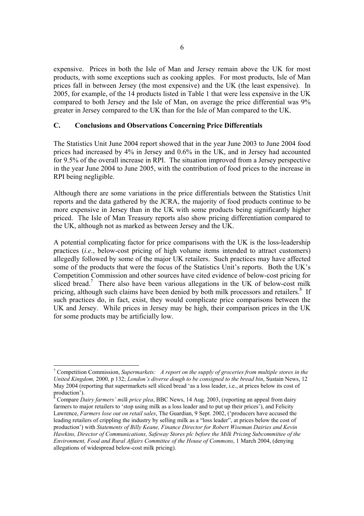expensive. Prices in both the Isle of Man and Jersey remain above the UK for most products, with some exceptions such as cooking apples. For most products, Isle of Man prices fall in between Jersey (the most expensive) and the UK (the least expensive). In 2005, for example, of the 14 products listed in Table 1 that were less expensive in the UK compared to both Jersey and the Isle of Man, on average the price differential was 9% greater in Jersey compared to the UK than for the Isle of Man compared to the UK.

# **C. Conclusions and Observations Concerning Price Differentials**

The Statistics Unit June 2004 report showed that in the year June 2003 to June 2004 food prices had increased by 4% in Jersey and 0.6% in the UK, and in Jersey had accounted for 9.5% of the overall increase in RPI. The situation improved from a Jersey perspective in the year June 2004 to June 2005, with the contribution of food prices to the increase in RPI being negligible.

Although there are some variations in the price differentials between the Statistics Unit reports and the data gathered by the JCRA, the majority of food products continue to be more expensive in Jersey than in the UK with some products being significantly higher priced. The Isle of Man Treasury reports also show pricing differentiation compared to the UK, although not as marked as between Jersey and the UK.

A potential complicating factor for price comparisons with the UK is the loss-leadership practices (*i.e.*, below-cost pricing of high volume items intended to attract customers) allegedly followed by some of the major UK retailers. Such practices may have affected some of the products that were the focus of the Statistics Unit's reports. Both the UK's Competition Commission and other sources have cited evidence of below-cost pricing for sliced bread.<sup>7</sup> There also have been various allegations in the UK of below-cost milk pricing, although such claims have been denied by both milk processors and retailers.<sup>8</sup> If such practices do, in fact, exist, they would complicate price comparisons between the UK and Jersey. While prices in Jersey may be high, their comparison prices in the UK for some products may be artificially low.

<sup>7</sup> Competition Commission, *Supermarkets: A report on the supply of groceries from multiple stores in the United Kingdom,* 2000, p 132; *London's diverse dough to be consigned to the bread bin*, Sustain News, 12 May 2004 (reporting that supermarkets sell sliced bread 'as a loss leader, i.e., at prices below its cost of production').

<sup>8</sup> Compare *Dairy farmers' milk price plea*, BBC News, 14 Aug. 2003, (reporting an appeal from dairy farmers to major retailers to 'stop using milk as a loss leader and to put up their prices'), and Felicity Lawrence, *Farmers lose out on retail sales*, The Guardian, 9 Sept. 2002, ('producers have accused the leading retailers of crippling the industry by selling milk as a "loss leader", at prices below the cost of production') with *Statements of Billy Keane, Finance Director for Robert Wiseman Dairies and Kevin Hawkins, Director of Communications, Safeway Stores plc before the Milk Pricing Subcommittee of the Environment, Food and Rural Affairs Committee of the House of Commons*, 1 March 2004, (denying allegations of widespread below-cost milk pricing).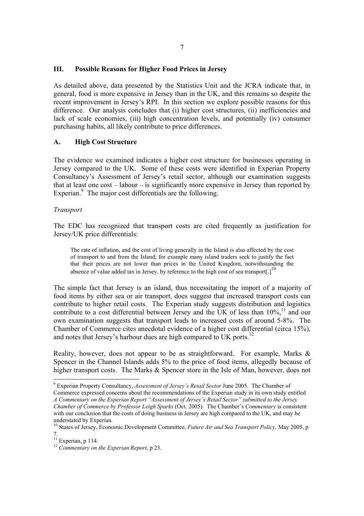### **III. Possible Reasons for Higher Food Prices in Jersey**

As detailed above, data presented by the Statistics Unit and the JCRA indicate that, in general, food is more expensive in Jersey than in the UK, and this remains so despite the recent improvement in Jersey's RPI. In this section we explore possible reasons for this difference. Our analysis concludes that (i) higher cost structures, (ii) inefficiencies and lack of scale economies, (iii) high concentration levels, and potentially (iv) consumer purchasing habits, all likely contribute to price differences.

# **A. High Cost Structure**

The evidence we examined indicates a higher cost structure for businesses operating in Jersey compared to the UK. Some of these costs were identified in Experian Property Consultancy's Assessment of Jersey's retail sector, although our examination suggests that at least one cost – labour – is significantly more expensive in Jersey than reported by Experian.<sup>9</sup> The major cost differentials are the following.

#### *Transport*

The EDC has recognized that transport costs are cited frequently as justification for Jersey/UK price differentials:

The rate of inflation, and the cost of living generally in the Island is also affected by the cost of transport to and from the Island; for example many island traders seek to justify the fact that their prices are not lower than prices in the United Kingdom, notwithstanding the absence of value added tax in Jersey, by reference to the high cost of sea transport. $1^{10}$ 

The simple fact that Jersey is an island, thus necessitating the import of a majority of food items by either sea or air transport, does suggest that increased transport costs can contribute to higher retail costs. The Experian study suggests distribution and logistics contribute to a cost differential between Jersey and the UK of less than  $10\%$ ,<sup>11</sup> and our own examination suggests that transport leads to increased costs of around 5-8%. The Chamber of Commerce cites anecdotal evidence of a higher cost differential (circa 15%), and notes that Jersey's harbour dues are high compared to UK ports.<sup>12</sup>

Reality, however, does not appear to be as straightforward. For example, Marks & Spencer in the Channel Islands adds 5% to the price of food items, allegedly because of higher transport costs. The Marks & Spencer store in the Isle of Man, however, does not

 9 Experian Property Consultancy, *Assessment of Jersey's Retail Sector* June 2005. The Chamber of Commerce expressed concerns about the recommendations of the Experian study in its own study entitled *A Commentary on the Experian Report "Assessment of Jersey's Retail Sector" submitted to the Jersey Chamber of Commerce by Professor Leigh Sparks* (Oct. 2005). The Chamber's *Commentary* is consistent with our conclusion that the costs of doing business in Jersey are high compared to the UK, and may be understated by Experian.

<sup>10</sup> States of Jersey, Economic Development Committee, *Future Air and Sea Transport Policy,* May 2005, p 7.

 $11$  Experian, p 114.

<sup>12</sup> *Commentary on the Experian Report*, p 23.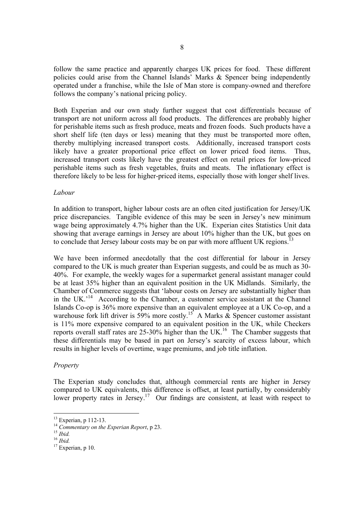follow the same practice and apparently charges UK prices for food. These different policies could arise from the Channel Islands' Marks & Spencer being independently operated under a franchise, while the Isle of Man store is company-owned and therefore follows the company's national pricing policy.

Both Experian and our own study further suggest that cost differentials because of transport are not uniform across all food products. The differences are probably higher for perishable items such as fresh produce, meats and frozen foods. Such products have a short shelf life (ten days or less) meaning that they must be transported more often, thereby multiplying increased transport costs. Additionally, increased transport costs likely have a greater proportional price effect on lower priced food items. Thus, increased transport costs likely have the greatest effect on retail prices for low-priced perishable items such as fresh vegetables, fruits and meats. The inflationary effect is therefore likely to be less for higher-priced items, especially those with longer shelf lives.

### *Labour*

In addition to transport, higher labour costs are an often cited justification for Jersey/UK price discrepancies. Tangible evidence of this may be seen in Jersey's new minimum wage being approximately 4.7% higher than the UK. Experian cites Statistics Unit data showing that average earnings in Jersey are about 10% higher than the UK, but goes on to conclude that Jersey labour costs may be on par with more affluent UK regions.

We have been informed anecdotally that the cost differential for labour in Jersey compared to the UK is much greater than Experian suggests, and could be as much as 30- 40%. For example, the weekly wages for a supermarket general assistant manager could be at least 35% higher than an equivalent position in the UK Midlands. Similarly, the Chamber of Commerce suggests that 'labour costs on Jersey are substantially higher than in the UK.<sup> $14$ </sup> According to the Chamber, a customer service assistant at the Channel Islands Co-op is 36% more expensive than an equivalent employee at a UK Co-op, and a warehouse fork lift driver is 59% more costly.<sup>15</sup> A Marks & Spencer customer assistant is 11% more expensive compared to an equivalent position in the UK, while Checkers reports overall staff rates are  $25{\text -}30\%$  higher than the UK.<sup>16</sup> The Chamber suggests that these differentials may be based in part on Jersey's scarcity of excess labour, which results in higher levels of overtime, wage premiums, and job title inflation.

# *Property*

The Experian study concludes that, although commercial rents are higher in Jersey compared to UK equivalents, this difference is offset, at least partially, by considerably lower property rates in Jersey.<sup>17</sup> Our findings are consistent, at least with respect to

<sup>&</sup>lt;sup>13</sup> Experian, p 112-13.

<sup>14</sup> Commentary on the Experian Report, p 23.<br><sup>15</sup> *Ibid.* <sup>16</sup> *Ibid.* <sup>17</sup> Experian, p 10.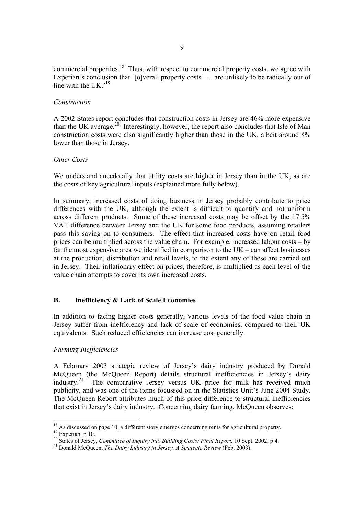commercial properties.<sup>18</sup> Thus, with respect to commercial property costs, we agree with Experian's conclusion that '[o]verall property costs . . . are unlikely to be radically out of line with the UK $^{19}$ 

### *Construction*

A 2002 States report concludes that construction costs in Jersey are 46% more expensive than the UK average.<sup>20</sup> Interestingly, however, the report also concludes that Isle of Man construction costs were also significantly higher than those in the UK, albeit around 8% lower than those in Jersey.

# *Other Costs*

We understand anecdotally that utility costs are higher in Jersey than in the UK, as are the costs of key agricultural inputs (explained more fully below).

In summary, increased costs of doing business in Jersey probably contribute to price differences with the UK, although the extent is difficult to quantify and not uniform across different products. Some of these increased costs may be offset by the 17.5% VAT difference between Jersey and the UK for some food products, assuming retailers pass this saving on to consumers. The effect that increased costs have on retail food prices can be multiplied across the value chain. For example, increased labour costs – by far the most expensive area we identified in comparison to the UK – can affect businesses at the production, distribution and retail levels, to the extent any of these are carried out in Jersey. Their inflationary effect on prices, therefore, is multiplied as each level of the value chain attempts to cover its own increased costs.

# **B. Inefficiency & Lack of Scale Economies**

In addition to facing higher costs generally, various levels of the food value chain in Jersey suffer from inefficiency and lack of scale of economies, compared to their UK equivalents. Such reduced efficiencies can increase cost generally.

#### *Farming Inefficiencies*

A February 2003 strategic review of Jersey's dairy industry produced by Donald McQueen (the McQueen Report) details structural inefficiencies in Jersey's dairy industry.<sup>21</sup> The comparative Jersey versus UK price for milk has received much The comparative Jersey versus UK price for milk has received much publicity, and was one of the items focussed on in the Statistics Unit's June 2004 Study. The McQueen Report attributes much of this price difference to structural inefficiencies that exist in Jersey's dairy industry. Concerning dairy farming, McQueen observes:

 $18$  As discussed on page 10, a different story emerges concerning rents for agricultural property.

 $19$  Experian, p 10.

<sup>20</sup> States of Jersey, *Committee of Inquiry into Building Costs: Final Report*, 10 Sept. 2002, p 4.<br><sup>21</sup> Donald McQueen, *The Dairy Industry in Jersey, A Strategic Review* (Feb. 2003).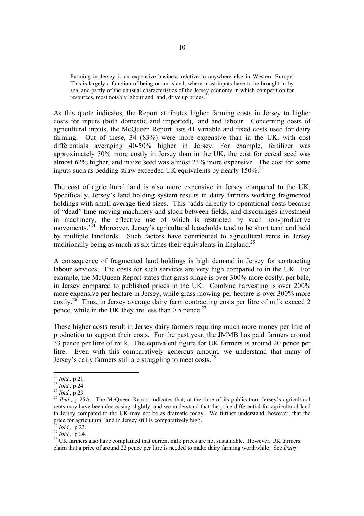Farming in Jersey is an expensive business relative to anywhere else in Western Europe. This is largely a function of being on an island, where most inputs have to be brought in by sea, and partly of the unusual characteristics of the Jersey economy in which competition for resources, most notably labour and land, drive up prices.<sup>2</sup>

As this quote indicates, the Report attributes higher farming costs in Jersey to higher costs for inputs (both domestic and imported), land and labour. Concerning costs of agricultural inputs, the McQueen Report lists 41 variable and fixed costs used for dairy farming. Out of these, 34 (83%) were more expensive than in the UK, with cost differentials averaging 40-50% higher in Jersey. For example, fertilizer was approximately 30% more costly in Jersey than in the UK, the cost for cereal seed was almost 62% higher, and maize seed was almost 23% more expensive. The cost for some inputs such as bedding straw exceeded UK equivalents by nearly  $150\%$ <sup>23</sup>

The cost of agricultural land is also more expensive in Jersey compared to the UK. Specifically, Jersey's land holding system results in dairy farmers working fragmented holdings with small average field sizes. This 'adds directly to operational costs because of "dead" time moving machinery and stock between fields, and discourages investment in machinery, the effective use of which is restricted by such non-productive movements.<sup>24</sup> Moreover, Jersey's agricultural leaseholds tend to be short term and held by multiple landlords. Such factors have contributed to agricultural rents in Jersey traditionally being as much as six times their equivalents in England.<sup>25</sup>

A consequence of fragmented land holdings is high demand in Jersey for contracting labour services. The costs for such services are very high compared to in the UK. For example, the McQueen Report states that grass silage is over 300% more costly, per bale, in Jersey compared to published prices in the UK. Combine harvesting is over 200% more expensive per hectare in Jersey, while grass mowing per hectare is over 300% more costly.<sup>26</sup> Thus, in Jersey average dairy farm contracting costs per litre of milk exceed 2 pence, while in the UK they are less than  $0.5$  pence.<sup>2</sup>

These higher costs result in Jersey dairy farmers requiring much more money per litre of production to support their costs. For the past year, the JMMB has paid farmers around 33 pence per litre of milk. The equivalent figure for UK farmers is around 20 pence per litre. Even with this comparatively generous amount, we understand that many of Jersey's dairy farmers still are struggling to meet costs.<sup>28</sup>

 $^{22}$  Ibid., p 21.

<sup>&</sup>lt;sup>23</sup> *Ibid.*, p 24.<br><sup>24</sup> *Ibid.*, p 23.<br><sup>25</sup> *Ibid.*, p 25A. The McQueen Report indicates that, at the time of its publication, Jersey's agricultural rents may have been decreasing slightly, and we understand that the price differential for agricultural land in Jersey compared to the UK may not be as dramatic today. We further understand, however, that the price for agricultural land in Jersey still is comparatively high.<br><sup>26</sup> *Ibid.*, p 23.<br><sup>27</sup> *Ibid.*, p 24.

<sup>&</sup>lt;sup>28</sup> UK farmers also have complained that current milk prices are not sustainable. However, UK farmers claim that a price of around 22 pence per litre is needed to make dairy farming worthwhile. See *Dairy*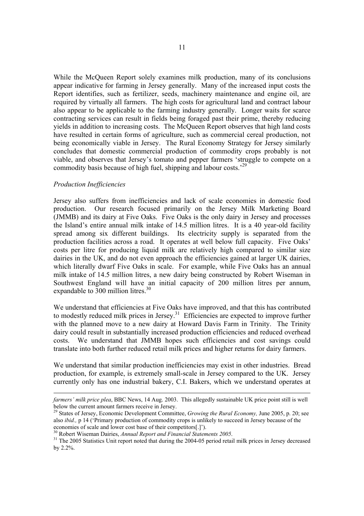While the McQueen Report solely examines milk production, many of its conclusions appear indicative for farming in Jersey generally. Many of the increased input costs the Report identifies, such as fertilizer, seeds, machinery maintenance and engine oil, are required by virtually all farmers. The high costs for agricultural land and contract labour also appear to be applicable to the farming industry generally. Longer waits for scarce contracting services can result in fields being foraged past their prime, thereby reducing yields in addition to increasing costs. The McQueen Report observes that high land costs have resulted in certain forms of agriculture, such as commercial cereal production, not being economically viable in Jersey. The Rural Economy Strategy for Jersey similarly concludes that domestic commercial production of commodity crops probably is not viable, and observes that Jersey's tomato and pepper farmers 'struggle to compete on a commodity basis because of high fuel, shipping and labour costs.'29

#### *Production Inefficiencies*

Jersey also suffers from inefficiencies and lack of scale economies in domestic food production. Our research focused primarily on the Jersey Milk Marketing Board (JMMB) and its dairy at Five Oaks. Five Oaks is the only dairy in Jersey and processes the Island's entire annual milk intake of 14.5 million litres. It is a 40 year-old facility spread among six different buildings. Its electricity supply is separated from the production facilities across a road. It operates at well below full capacity. Five Oaks' costs per litre for producing liquid milk are relatively high compared to similar size dairies in the UK, and do not even approach the efficiencies gained at larger UK dairies, which literally dwarf Five Oaks in scale. For example, while Five Oaks has an annual milk intake of 14.5 million litres, a new dairy being constructed by Robert Wiseman in Southwest England will have an initial capacity of 200 million litres per annum, expandable to 300 million litres.<sup>30</sup>

We understand that efficiencies at Five Oaks have improved, and that this has contributed to modestly reduced milk prices in Jersey.<sup>31</sup> Efficiencies are expected to improve further with the planned move to a new dairy at Howard Davis Farm in Trinity. The Trinity dairy could result in substantially increased production efficiencies and reduced overhead costs. We understand that JMMB hopes such efficiencies and cost savings could translate into both further reduced retail milk prices and higher returns for dairy farmers.

We understand that similar production inefficiencies may exist in other industries. Bread production, for example, is extremely small-scale in Jersey compared to the UK. Jersey currently only has one industrial bakery, C.I. Bakers, which we understand operates at

*farmers' milk price plea*, BBC News, 14 Aug. 2003. This allegedly sustainable UK price point still is well below the current amount farmers receive in Jersey.

<sup>29</sup> States of Jersey, Economic Development Committee, *Growing the Rural Economy,* June 2005, p. 20; see also *ibid.,* p 14 ('Primary production of commodity crops is unlikely to succeed in Jersey because of the economies of scale and lower cost base of their competitors[.]').<br><sup>30</sup> Robert Wiseman Dairies, *Annual Report and Financial Statements 2005*.

<sup>&</sup>lt;sup>31</sup> The 2005 Statistics Unit report noted that during the 2004-05 period retail milk prices in Jersey decreased by 2.2%.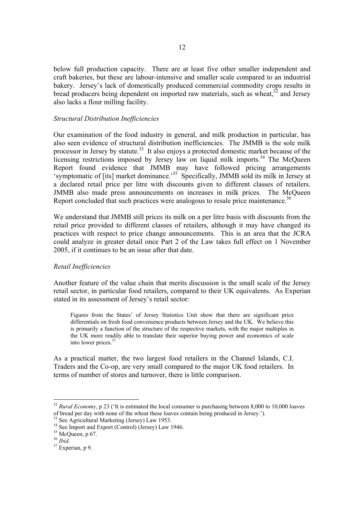below full production capacity. There are at least five other smaller independent and craft bakeries, but these are labour-intensive and smaller scale compared to an industrial bakery. Jersey's lack of domestically produced commercial commodity crops results in bread producers being dependent on imported raw materials, such as wheat,  $32$  and Jersey also lacks a flour milling facility.

#### *Structural Distribution Inefficiencies*

Our examination of the food industry in general, and milk production in particular, has also seen evidence of structural distribution inefficiencies. The JMMB is the sole milk processor in Jersey by statute.<sup>33</sup> It also enjoys a protected domestic market because of the licensing restrictions imposed by Jersey law on liquid milk imports.<sup>34</sup> The McQueen Report found evidence that JMMB may have followed pricing arrangements 'symptomatic of [its] market dominance.<sup>35</sup> Specifically, JMMB sold its milk in Jersey at a declared retail price per litre with discounts given to different classes of retailers. JMMB also made press announcements on increases in milk prices. The McQueen Report concluded that such practices were analogous to resale price maintenance.<sup>36</sup>

We understand that JMMB still prices its milk on a per litre basis with discounts from the retail price provided to different classes of retailers, although it may have changed its practices with respect to price change announcements. This is an area that the JCRA could analyze in greater detail once Part 2 of the Law takes full effect on 1 November 2005, if it continues to be an issue after that date.

#### *Retail Inefficiencies*

Another feature of the value chain that merits discussion is the small scale of the Jersey retail sector, in particular food retailers, compared to their UK equivalents. As Experian stated in its assessment of Jersey's retail sector:

Figures from the States' of Jersey Statistics Unit show that there are significant price differentials on fresh food convenience products between Jersey and the UK. We believe this is primarily a function of the structure of the respective markets, with the major multiples in the UK more readily able to translate their superior buying power and economics of scale into lower prices.37

As a practical matter, the two largest food retailers in the Channel Islands, C.I. Traders and the Co-op, are very small compared to the major UK food retailers. In terms of number of stores and turnover, there is little comparison.

<sup>&</sup>lt;sup>32</sup> *Rural Economy*, p 23 ('It is estimated the local consumer is purchasing between 8,000 to 10,000 loaves of bread per day with none of the wheat these loaves contain being produced in Jersey.').

<sup>&</sup>lt;sup>33</sup> See Agricultural Marketing (Jersey) Law 1953.

<sup>&</sup>lt;sup>34</sup> See Import and Export (Control) (Jersey) Law 1946.

 $\frac{35}{36}$  McQueen, p 67.<br> $\frac{36}{1}$ *hid*.

<sup>&</sup>lt;sup>37</sup> Experian, p 9.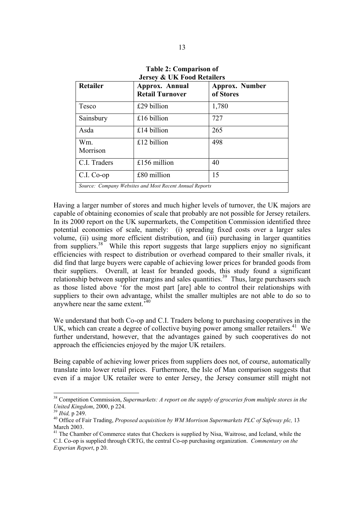| <b>Retailer</b>                                         | Approx. Annual<br><b>Retail Turnover</b> | Approx. Number<br>of Stores |  |  |
|---------------------------------------------------------|------------------------------------------|-----------------------------|--|--|
| Tesco                                                   | £29 billion                              | 1,780                       |  |  |
| Sainsbury                                               | £16 billion                              | 727                         |  |  |
| Asda                                                    | £14 billion                              | 265                         |  |  |
| Wm.<br>Morrison                                         | £12 billion                              | 498                         |  |  |
| C.I. Traders                                            | £156 million                             | 40                          |  |  |
| $C.I. Co-op$                                            | $£80$ million                            | 15                          |  |  |
| Source: Company Websites and Most Recent Annual Reports |                                          |                             |  |  |

**Table 2: Comparison of Jersey & UK Food Retailers** 

Having a larger number of stores and much higher levels of turnover, the UK majors are capable of obtaining economies of scale that probably are not possible for Jersey retailers. In its 2000 report on the UK supermarkets, the Competition Commission identified three potential economies of scale, namely: (i) spreading fixed costs over a larger sales volume, (ii) using more efficient distribution, and (iii) purchasing in larger quantities from suppliers.<sup>38</sup> While this report suggests that large suppliers enjoy no significant efficiencies with respect to distribution or overhead compared to their smaller rivals, it did find that large buyers were capable of achieving lower prices for branded goods from their suppliers. Overall, at least for branded goods, this study found a significant relationship between supplier margins and sales quantities.<sup>39</sup> Thus, large purchasers such as those listed above 'for the most part [are] able to control their relationships with suppliers to their own advantage, whilst the smaller multiples are not able to do so to anywhere near the same extent.'

We understand that both Co-op and C.I. Traders belong to purchasing cooperatives in the UK, which can create a degree of collective buying power among smaller retailers.<sup>41</sup> We further understand, however, that the advantages gained by such cooperatives do not approach the efficiencies enjoyed by the major UK retailers.

Being capable of achieving lower prices from suppliers does not, of course, automatically translate into lower retail prices. Furthermore, the Isle of Man comparison suggests that even if a major UK retailer were to enter Jersey, the Jersey consumer still might not

<sup>38</sup> Competition Commission, *Supermarkets: A report on the supply of groceries from multiple stores in the United Kingdom, 2000, p 224.*<br><sup>39</sup> *Ibid, p 249.*<br><sup>40</sup> Office of Fair Trading, *Proposed acquisition by WM Morrison Supermarkets PLC of Safeway plc, 13* 

March 2003.

<sup>&</sup>lt;sup>41</sup> The Chamber of Commerce states that Checkers is supplied by Nisa, Waitrose, and Iceland, while the C.I. Co-op is supplied through CRTG, the central Co-op purchasing organization. *Commentary on the Experian Report*, p 20.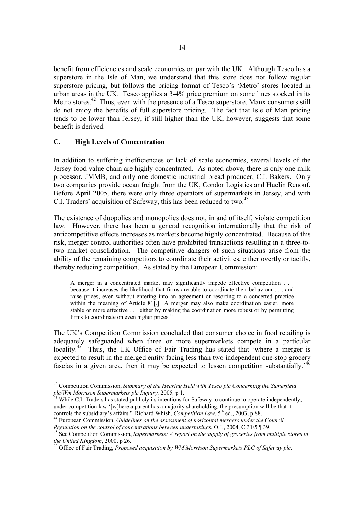benefit from efficiencies and scale economies on par with the UK. Although Tesco has a superstore in the Isle of Man, we understand that this store does not follow regular superstore pricing, but follows the pricing format of Tesco's 'Metro' stores located in urban areas in the UK. Tesco applies a 3-4% price premium on some lines stocked in its Metro stores.<sup>42</sup> Thus, even with the presence of a Tesco superstore, Manx consumers still do not enjoy the benefits of full superstore pricing. The fact that Isle of Man pricing tends to be lower than Jersey, if still higher than the UK, however, suggests that some benefit is derived.

# **C. High Levels of Concentration**

In addition to suffering inefficiencies or lack of scale economies, several levels of the Jersey food value chain are highly concentrated. As noted above, there is only one milk processor, JMMB, and only one domestic industrial bread producer, C.I. Bakers. Only two companies provide ocean freight from the UK, Condor Logistics and Huelin Renouf. Before April 2005, there were only three operators of supermarkets in Jersey, and with C.I. Traders' acquisition of Safeway, this has been reduced to two.<sup>43</sup>

The existence of duopolies and monopolies does not, in and of itself, violate competition law. However, there has been a general recognition internationally that the risk of anticompetitive effects increases as markets become highly concentrated. Because of this risk, merger control authorities often have prohibited transactions resulting in a three-totwo market consolidation. The competitive dangers of such situations arise from the ability of the remaining competitors to coordinate their activities, either overtly or tacitly, thereby reducing competition. As stated by the European Commission:

A merger in a concentrated market may significantly impede effective competition . . . because it increases the likelihood that firms are able to coordinate their behaviour . . . and raise prices, even without entering into an agreement or resorting to a concerted practice within the meaning of Article 81[.] A merger may also make coordination easier, more stable or more effective . . . either by making the coordination more robust or by permitting firms to coordinate on even higher prices.<sup>44</sup>

The UK's Competition Commission concluded that consumer choice in food retailing is adequately safeguarded when three or more supermarkets compete in a particular locality.<sup>45</sup> Thus, the UK Office of Fair Trading has stated that 'where a merger is expected to result in the merged entity facing less than two independent one-stop grocery fascias in a given area, then it may be expected to lessen competition substantially.'46

 42 Competition Commission, *Summary of the Hearing Held with Tesco plc Concerning the Sumerfield plc/Wm Morrison Supermarkets plc Inquiry, 2005, p 1.* All *neu with Lesco pic Concerning the Sumerfield*<br><sup>43</sup> While C.I. Traders has stated publicly its intentions for Safeway to continue to operate independently,

under competition law '[w]here a parent has a majority shareholding, the presumption will be that it

controls the subsidiary's affairs.' Richard Whish, *Competition Law*, 5<sup>th</sup> ed., 2003, p 88.<br><sup>44</sup> European Commission, *Guidelines on the assessment of horizontal mergers under the Council Regulation on the control of conc* 

<sup>&</sup>lt;sup>45</sup> See Competition Commission, *Supermarkets: A report on the supply of groceries from multiple stores in the United Kingdom, 2000, p 26.* 

<sup>&</sup>lt;sup>46</sup> Office of Fair Trading, *Proposed acquisition by WM Morrison Supermarkets PLC of Safeway plc.*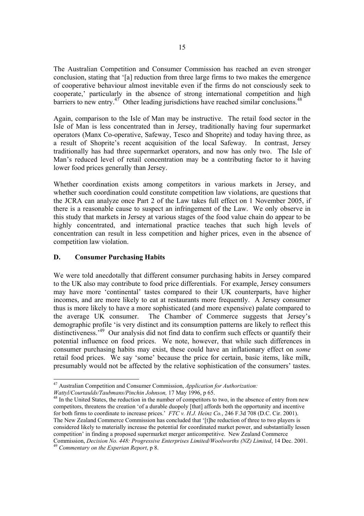The Australian Competition and Consumer Commission has reached an even stronger conclusion, stating that '[a] reduction from three large firms to two makes the emergence of cooperative behaviour almost inevitable even if the firms do not consciously seek to cooperate,' particularly in the absence of strong international competition and high barriers to new entry.<sup>47</sup> Other leading jurisdictions have reached similar conclusions.<sup>48</sup>

Again, comparison to the Isle of Man may be instructive. The retail food sector in the Isle of Man is less concentrated than in Jersey, traditionally having four supermarket operators (Manx Co-operative, Safeway, Tesco and Shoprite) and today having three, as a result of Shoprite's recent acquisition of the local Safeway. In contrast, Jersey traditionally has had three supermarket operators, and now has only two. The Isle of Man's reduced level of retail concentration may be a contributing factor to it having lower food prices generally than Jersey.

Whether coordination exists among competitors in various markets in Jersey, and whether such coordination could constitute competition law violations, are questions that the JCRA can analyze once Part 2 of the Law takes full effect on 1 November 2005, if there is a reasonable cause to suspect an infringement of the Law. We only observe in this study that markets in Jersey at various stages of the food value chain do appear to be highly concentrated, and international practice teaches that such high levels of concentration can result in less competition and higher prices, even in the absence of competition law violation.

# **D. Consumer Purchasing Habits**

We were told anecdotally that different consumer purchasing habits in Jersey compared to the UK also may contribute to food price differentials. For example, Jersey consumers may have more 'continental' tastes compared to their UK counterparts, have higher incomes, and are more likely to eat at restaurants more frequently. A Jersey consumer thus is more likely to have a more sophisticated (and more expensive) palate compared to the average UK consumer. The Chamber of Commerce suggests that Jersey's demographic profile 'is very distinct and its consumption patterns are likely to reflect this distinctiveness.<sup>49</sup> Our analysis did not find data to confirm such effects or quantify their potential influence on food prices. We note, however, that while such differences in consumer purchasing habits may exist, these could have an inflationary effect on *some* retail food prices. We say 'some' because the price for certain, basic items, like milk, presumably would not be affected by the relative sophistication of the consumers' tastes.

 47 Australian Competition and Consumer Commission, *Application for Authorization:* 

*Wattyl/Courtaulds/Taubmans/Pinchin Johnson,* 17 May 1996, p 65.<br><sup>48</sup> In the United States, the reduction in the number of competitors to two, in the absence of entry from new competitors, threatens the creation 'of a durable duopoly [that] affords both the opportunity and incentive for both firms to coordinate to increase prices.' *FTC v. H.J. Heinz Co.*, 246 F.3d 708 (D.C. Cir. 2001). The New Zealand Commerce Commission has concluded that '[t]he reduction of three to two players is considered likely to materially increase the potential for coordinated market power, and substantially lessen competition' in finding a proposed supermarket merger anticompetitive. New Zealand Commerce Commission, *Decision No. 448: Progressive Enterprises Limited/Woolworths (NZ) Limited*, 14 Dec. 2001. 49 *Commentary on the Experian Report*, p 8.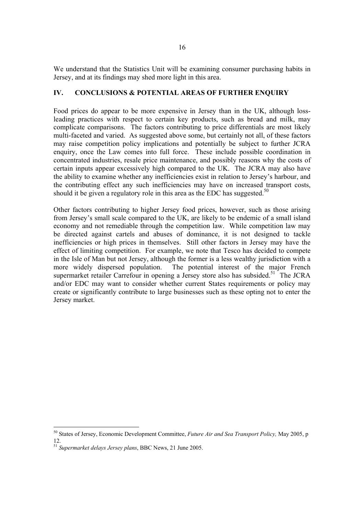We understand that the Statistics Unit will be examining consumer purchasing habits in Jersey, and at its findings may shed more light in this area.

# **IV. CONCLUSIONS & POTENTIAL AREAS OF FURTHER ENQUIRY**

Food prices do appear to be more expensive in Jersey than in the UK, although lossleading practices with respect to certain key products, such as bread and milk, may complicate comparisons. The factors contributing to price differentials are most likely multi-faceted and varied. As suggested above some, but certainly not all, of these factors may raise competition policy implications and potentially be subject to further JCRA enquiry, once the Law comes into full force. These include possible coordination in concentrated industries, resale price maintenance, and possibly reasons why the costs of certain inputs appear excessively high compared to the UK. The JCRA may also have the ability to examine whether any inefficiencies exist in relation to Jersey's harbour, and the contributing effect any such inefficiencies may have on increased transport costs, should it be given a regulatory role in this area as the EDC has suggested.<sup>50</sup>

Other factors contributing to higher Jersey food prices, however, such as those arising from Jersey's small scale compared to the UK, are likely to be endemic of a small island economy and not remediable through the competition law. While competition law may be directed against cartels and abuses of dominance, it is not designed to tackle inefficiencies or high prices in themselves. Still other factors in Jersey may have the effect of limiting competition. For example, we note that Tesco has decided to compete in the Isle of Man but not Jersey, although the former is a less wealthy jurisdiction with a more widely dispersed population. The potential interest of the major French supermarket retailer Carrefour in opening a Jersey store also has subsided.<sup>51</sup> The JCRA and/or EDC may want to consider whether current States requirements or policy may create or significantly contribute to large businesses such as these opting not to enter the Jersey market.

<sup>50</sup> States of Jersey, Economic Development Committee, *Future Air and Sea Transport Policy,* May 2005, p 12.

<sup>51</sup> *Supermarket delays Jersey plans*, BBC News, 21 June 2005.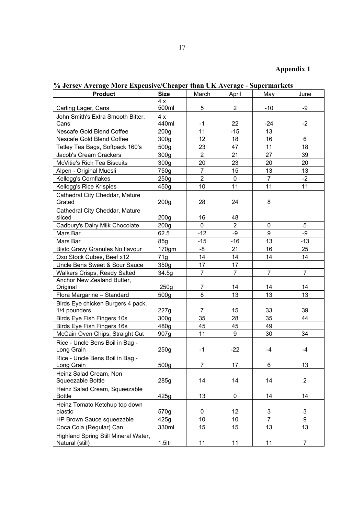# **Appendix 1**

| <b>Product</b>                                 | <b>Size</b>      | March          | April          | May            | June           |
|------------------------------------------------|------------------|----------------|----------------|----------------|----------------|
|                                                | 4x               |                |                |                |                |
| Carling Lager, Cans                            | 500ml            | 5              | $\overline{2}$ | $-10$          | -9             |
| John Smith's Extra Smooth Bitter,              | 4x               |                |                |                |                |
| Cans                                           | 440ml            | $-1$           | 22             | $-24$          | $-2$           |
| Nescafe Gold Blend Coffee                      | 200 <sub>g</sub> | 11             | $-15$          | 13             |                |
| Nescafe Gold Blend Coffee                      | 300 <sub>g</sub> | 12             | 18             | 16             | 6              |
| Tetley Tea Bags, Softpack 160's                | 500g             | 23             | 47             | 11             | 18             |
| Jacob's Cream Crackers                         | 300 <sub>g</sub> | $\overline{2}$ | 21             | 27             | 39             |
| McVitie's Rich Tea Biscuits                    | 300 <sub>g</sub> | 20             | 23             | 20             | 20             |
| Alpen - Original Muesli                        | 750g             | $\overline{7}$ | 15             | 13             | 13             |
| Kellogg's Cornflakes                           | 250g             | $\overline{2}$ | 0              | $\overline{7}$ | $-2$           |
| Kellogg's Rice Krispies                        | 450g             | 10             | 11             | 11             | 11             |
| Cathedral City Cheddar, Mature<br>Grated       | 200 <sub>g</sub> | 28             | 24             | 8              |                |
| Cathedral City Cheddar, Mature                 |                  |                |                |                |                |
| sliced                                         | 200 <sub>g</sub> | 16             | 48             |                |                |
| Cadbury's Dairy Milk Chocolate                 | 200 <sub>g</sub> | $\mathbf{0}$   | $\overline{2}$ | 0              | 5              |
| Mars Bar                                       | 62.5             | $-12$          | -9             | 9              | -9             |
| Mars Bar                                       | 85q              | $-15$          | $-16$          | 13             | $-13$          |
| Bisto Gravy Granules No flavour                | 170gm            | -8             | 21             | 16             | 25             |
| Oxo Stock Cubes, Beef x12                      | 71g              | 14             | 14             | 14             | 14             |
| Uncle Bens Sweet & Sour Sauce                  | 350g             | 17             | 17             |                |                |
| Walkers Crisps, Ready Salted                   | 34.5g            | $\overline{7}$ | $\overline{7}$ | $\overline{7}$ | $\overline{7}$ |
| Anchor New Zealand Butter,                     |                  |                |                |                |                |
| Original                                       | 250g             | $\overline{7}$ | 14             | 14             | 14             |
| Flora Margarine - Standard                     | 500 <sub>q</sub> | 8              | 13             | 13             | 13             |
| Birds Eye chicken Burgers 4 pack,              |                  |                |                |                |                |
| 1/4 pounders                                   | 227g             | 7              | 15             | 33             | 39             |
| Birds Eye Fish Fingers 10s                     | 300 <sub>g</sub> | 35             | 28             | 35             | 44             |
| Birds Eye Fish Fingers 16s                     | 480g             | 45             | 45             | 49             |                |
| McCain Oven Chips, Straight Cut                | 907g             | 11             | 9              | 30             | 34             |
| Rice - Uncle Bens Boil in Bag -<br>Long Grain  | 250g             | $-1$           | $-22$          | $-4$           | -4             |
| Rice - Uncle Bens Boil in Bag -<br>Long Grain  | 500g             | 7              | 17             | 6              | 13             |
| Heinz Salad Cream, Non<br>Squeezable Bottle    | 285g             | 14             | 14             | 14             | $\overline{c}$ |
| Heinz Salad Cream, Squeezable<br><b>Bottle</b> | 425g             | 13             | 0              | 14             | 14             |
| Heinz Tomato Ketchup top down                  |                  |                |                |                |                |
| plastic                                        | 570g             | $\mathbf 0$    | 12             | 3              | 3              |
| HP Brown Sauce squeezable                      | 425g             | 10             | 10             | $\overline{7}$ | 9              |
| Coca Cola (Regular) Can                        | 330ml            | 15             | 15             | 13             | 13             |
| Highland Spring Still Mineral Water,           |                  |                |                |                |                |
| Natural (still)                                | $1.5$ ltr        | 11             | 11             | 11             | 7              |

**% Jersey Average More Expensive/Cheaper than UK Average - Supermarkets**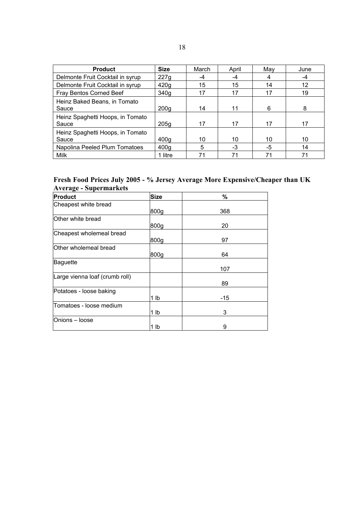| <b>Product</b>                            | <b>Size</b>      | March | April | May | June |
|-------------------------------------------|------------------|-------|-------|-----|------|
| Delmonte Fruit Cocktail in syrup          | 227g             | -4    | -4    |     | -4   |
| Delmonte Fruit Cocktail in syrup          | 420g             | 15    | 15    | 14  | 12   |
| Fray Bentos Corned Beef                   | 340a             | 17    | 17    | 17  | 19   |
| Heinz Baked Beans, in Tomato<br>Sauce     | 200 <sub>g</sub> | 14    | 11    | 6   | 8    |
| Heinz Spaghetti Hoops, in Tomato<br>Sauce | 205 <sub>g</sub> | 17    | 17    | 17  | 17   |
| Heinz Spaghetti Hoops, in Tomato<br>Sauce | 400 <sub>g</sub> | 10    | 10    | 10  | 10   |
| Napolina Peeled Plum Tomatoes             | 400 <sub>g</sub> | 5     | -3    | -5  | 14   |
| Milk                                      | 1 litre          | 71    | 71    | 71  | 71   |

## **Fresh Food Prices July 2005 - % Jersey Average More Expensive/Cheaper than UK Average - Supermarkets**

| <b>Product</b>                 | <b>Size</b>    | %     |
|--------------------------------|----------------|-------|
| Cheapest white bread           |                |       |
|                                | 800g           | 368   |
| Other white bread              |                |       |
|                                | 800g           | 20    |
| Cheapest wholemeal bread       |                |       |
|                                | 800g           | 97    |
| Other wholemeal bread          |                |       |
|                                | 800g           | 64    |
| <b>Baguette</b>                |                |       |
|                                |                | 107   |
| Large vienna loaf (crumb roll) |                |       |
|                                |                | 89    |
| Potatoes - loose baking        |                |       |
|                                | 1 lb           | $-15$ |
| Tomatoes - loose medium        |                |       |
|                                | 1 <sub>1</sub> | 3     |
| Onions - loose                 |                |       |
|                                | 1 lb           | 9     |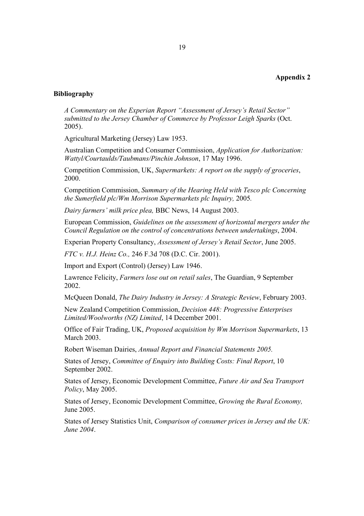#### **Appendix 2**

#### **Bibliography**

*A Commentary on the Experian Report "Assessment of Jersey's Retail Sector" submitted to the Jersey Chamber of Commerce by Professor Leigh Sparks* (Oct. 2005).

Agricultural Marketing (Jersey) Law 1953.

Australian Competition and Consumer Commission, *Application for Authorization: Wattyl/Courtaulds/Taubmans/Pinchin Johnson*, 17 May 1996.

Competition Commission, UK, *Supermarkets: A report on the supply of groceries*, 2000.

Competition Commission, *Summary of the Hearing Held with Tesco plc Concerning the Sumerfield plc/Wm Morrison Supermarkets plc Inquiry,* 2005*.* 

*Dairy farmers' milk price plea,* BBC News, 14 August 2003.

European Commission, *Guidelines on the assessment of horizontal mergers under the Council Regulation on the control of concentrations between undertakings*, 2004.

Experian Property Consultancy, *Assessment of Jersey's Retail Sector*, June 2005.

*FTC v. H.J. Heinz Co.,* 246 F.3d 708 (D.C. Cir. 2001).

Import and Export (Control) (Jersey) Law 1946.

Lawrence Felicity, *Farmers lose out on retail sales*, The Guardian, 9 September 2002.

McQueen Donald, *The Dairy Industry in Jersey: A Strategic Review*, February 2003.

New Zealand Competition Commission, *Decision 448: Progressive Enterprises Limited/Woolworths (NZ) Limited*, 14 December 2001.

Office of Fair Trading, UK, *Proposed acquisition by Wm Morrison Supermarkets*, 13 March 2003.

Robert Wiseman Dairies, *Annual Report and Financial Statements 2005.* 

States of Jersey, *Committee of Enquiry into Building Costs: Final Report*, 10 September 2002.

States of Jersey, Economic Development Committee, *Future Air and Sea Transport Policy*, May 2005.

States of Jersey, Economic Development Committee, *Growing the Rural Economy,*  June 2005.

States of Jersey Statistics Unit, *Comparison of consumer prices in Jersey and the UK: June 2004*.